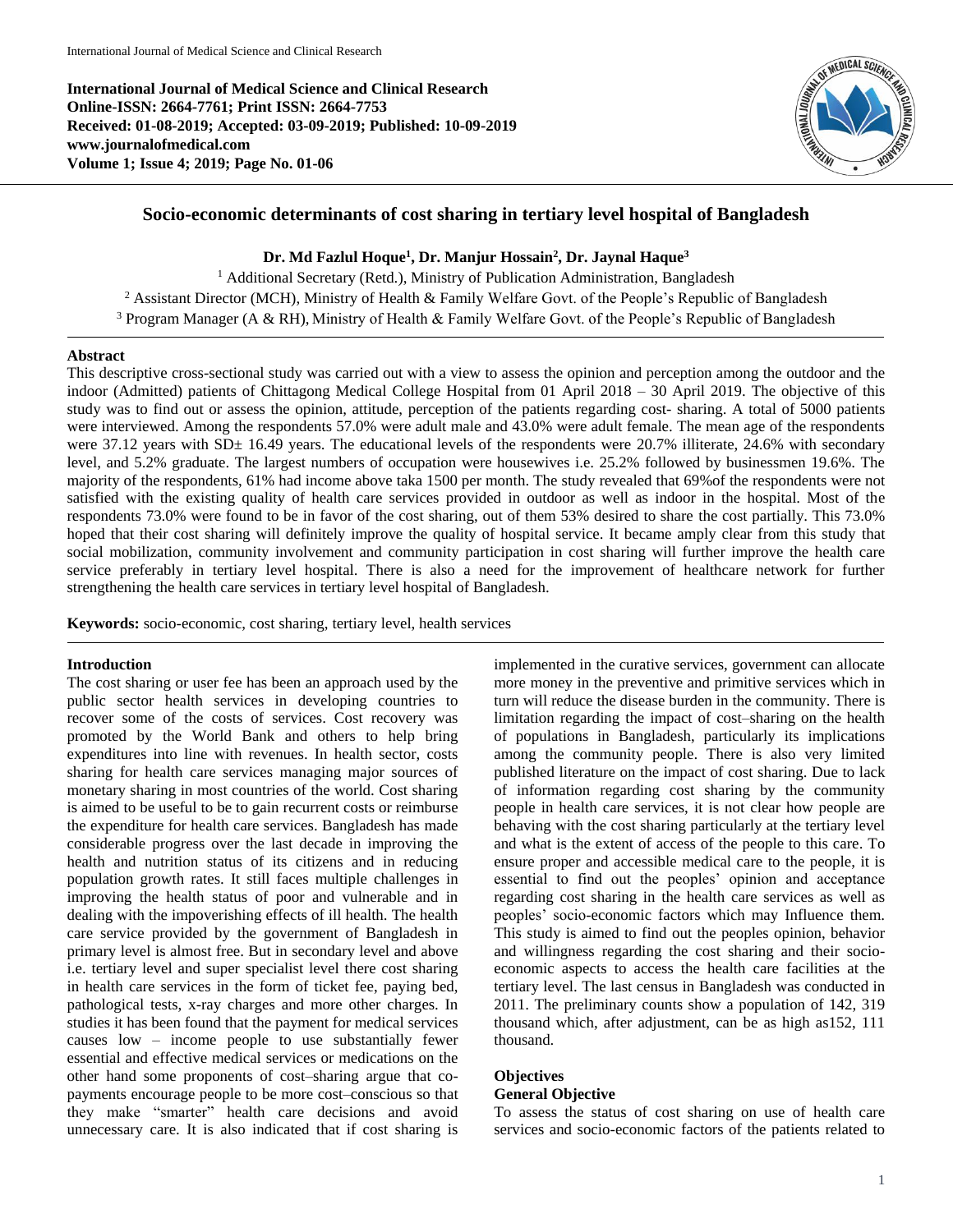**International Journal of Medical Science and Clinical Research Online-ISSN: 2664-7761; Print ISSN: 2664-7753 Received: 01-08-2019; Accepted: 03-09-2019; Published: 10-09-2019 www.journalofmedical.com Volume 1; Issue 4; 2019; Page No. 01-06**



# **Socio-economic determinants of cost sharing in tertiary level hospital of Bangladesh**

## **Dr. Md Fazlul Hoque<sup>1</sup> , Dr. Manjur Hossain<sup>2</sup> , Dr. Jaynal Haque<sup>3</sup>**

<sup>1</sup> Additional Secretary (Retd.), Ministry of Publication Administration, Bangladesh <sup>2</sup> Assistant Director (MCH), Ministry of Health & Family Welfare Govt. of the People's Republic of Bangladesh <sup>3</sup> Program Manager (A & RH), Ministry of Health & Family Welfare Govt. of the People's Republic of Bangladesh

#### **Abstract**

This descriptive cross-sectional study was carried out with a view to assess the opinion and perception among the outdoor and the indoor (Admitted) patients of Chittagong Medical College Hospital from 01 April 2018 – 30 April 2019. The objective of this study was to find out or assess the opinion, attitude, perception of the patients regarding cost- sharing. A total of 5000 patients were interviewed. Among the respondents 57.0% were adult male and 43.0% were adult female. The mean age of the respondents were 37.12 years with SD± 16.49 years. The educational levels of the respondents were 20.7% illiterate, 24.6% with secondary level, and 5.2% graduate. The largest numbers of occupation were housewives i.e. 25.2% followed by businessmen 19.6%. The majority of the respondents, 61% had income above taka 1500 per month. The study revealed that 69%of the respondents were not satisfied with the existing quality of health care services provided in outdoor as well as indoor in the hospital. Most of the respondents 73.0% were found to be in favor of the cost sharing, out of them 53% desired to share the cost partially. This 73.0% hoped that their cost sharing will definitely improve the quality of hospital service. It became amply clear from this study that social mobilization, community involvement and community participation in cost sharing will further improve the health care service preferably in tertiary level hospital. There is also a need for the improvement of healthcare network for further strengthening the health care services in tertiary level hospital of Bangladesh.

**Keywords:** socio-economic, cost sharing, tertiary level, health services

## **Introduction**

The cost sharing or user fee has been an approach used by the public sector health services in developing countries to recover some of the costs of services. Cost recovery was promoted by the World Bank and others to help bring expenditures into line with revenues. In health sector, costs sharing for health care services managing major sources of monetary sharing in most countries of the world. Cost sharing is aimed to be useful to be to gain recurrent costs or reimburse the expenditure for health care services. Bangladesh has made considerable progress over the last decade in improving the health and nutrition status of its citizens and in reducing population growth rates. It still faces multiple challenges in improving the health status of poor and vulnerable and in dealing with the impoverishing effects of ill health. The health care service provided by the government of Bangladesh in primary level is almost free. But in secondary level and above i.e. tertiary level and super specialist level there cost sharing in health care services in the form of ticket fee, paying bed, pathological tests, x-ray charges and more other charges. In studies it has been found that the payment for medical services causes low – income people to use substantially fewer essential and effective medical services or medications on the other hand some proponents of cost–sharing argue that copayments encourage people to be more cost–conscious so that they make "smarter" health care decisions and avoid unnecessary care. It is also indicated that if cost sharing is

implemented in the curative services, government can allocate more money in the preventive and primitive services which in turn will reduce the disease burden in the community. There is limitation regarding the impact of cost–sharing on the health of populations in Bangladesh, particularly its implications among the community people. There is also very limited published literature on the impact of cost sharing. Due to lack of information regarding cost sharing by the community people in health care services, it is not clear how people are behaving with the cost sharing particularly at the tertiary level and what is the extent of access of the people to this care. To ensure proper and accessible medical care to the people, it is essential to find out the peoples' opinion and acceptance regarding cost sharing in the health care services as well as peoples' socio-economic factors which may Influence them. This study is aimed to find out the peoples opinion, behavior and willingness regarding the cost sharing and their socioeconomic aspects to access the health care facilities at the tertiary level. The last census in Bangladesh was conducted in 2011. The preliminary counts show a population of 142, 319 thousand which, after adjustment, can be as high as152, 111 thousand.

## **Objectives General Objective**

To assess the status of cost sharing on use of health care services and socio-economic factors of the patients related to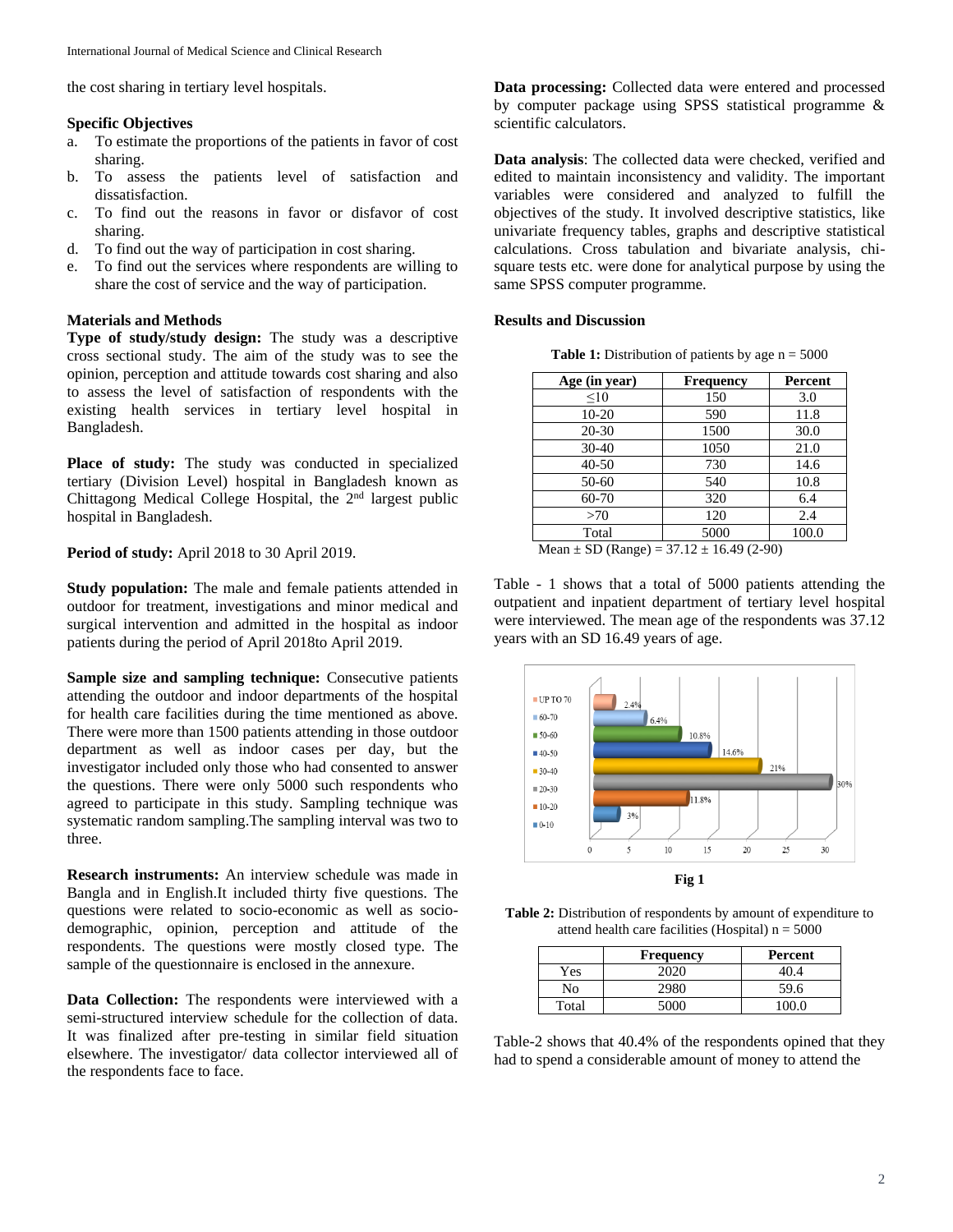the cost sharing in tertiary level hospitals.

#### **Specific Objectives**

- a. To estimate the proportions of the patients in favor of cost sharing.
- b. To assess the patients level of satisfaction and dissatisfaction.
- c. To find out the reasons in favor or disfavor of cost sharing.
- d. To find out the way of participation in cost sharing.
- e. To find out the services where respondents are willing to share the cost of service and the way of participation.

#### **Materials and Methods**

**Type of study/study design:** The study was a descriptive cross sectional study. The aim of the study was to see the opinion, perception and attitude towards cost sharing and also to assess the level of satisfaction of respondents with the existing health services in tertiary level hospital in Bangladesh.

**Place of study:** The study was conducted in specialized tertiary (Division Level) hospital in Bangladesh known as Chittagong Medical College Hospital, the  $2<sup>nd</sup>$  largest public hospital in Bangladesh.

**Period of study:** April 2018 to 30 April 2019.

**Study population:** The male and female patients attended in outdoor for treatment, investigations and minor medical and surgical intervention and admitted in the hospital as indoor patients during the period of April 2018to April 2019.

**Sample size and sampling technique:** Consecutive patients attending the outdoor and indoor departments of the hospital for health care facilities during the time mentioned as above. There were more than 1500 patients attending in those outdoor department as well as indoor cases per day, but the investigator included only those who had consented to answer the questions. There were only 5000 such respondents who agreed to participate in this study. Sampling technique was systematic random sampling.The sampling interval was two to three.

**Research instruments:** An interview schedule was made in Bangla and in English.It included thirty five questions. The questions were related to socio-economic as well as sociodemographic, opinion, perception and attitude of the respondents. The questions were mostly closed type. The sample of the questionnaire is enclosed in the annexure.

**Data Collection:** The respondents were interviewed with a semi-structured interview schedule for the collection of data. It was finalized after pre-testing in similar field situation elsewhere. The investigator/ data collector interviewed all of the respondents face to face.

**Data processing:** Collected data were entered and processed by computer package using SPSS statistical programme & scientific calculators.

**Data analysis**: The collected data were checked, verified and edited to maintain inconsistency and validity. The important variables were considered and analyzed to fulfill the objectives of the study. It involved descriptive statistics, like univariate frequency tables, graphs and descriptive statistical calculations. Cross tabulation and bivariate analysis, chisquare tests etc. were done for analytical purpose by using the same SPSS computer programme.

#### **Results and Discussion**

| <b>Table 1:</b> Distribution of patients by age $n = 5000$ |  |  |
|------------------------------------------------------------|--|--|
|------------------------------------------------------------|--|--|

| Age (in year)                               | Frequency                | Percent |
|---------------------------------------------|--------------------------|---------|
| <10                                         | 150                      | 3.0     |
| $10-20$                                     | 590                      | 11.8    |
| 20-30                                       | 1500                     | 30.0    |
| $30 - 40$                                   | 1050                     | 21.0    |
| $40 - 50$                                   | 730                      | 14.6    |
| $50 - 60$                                   | 540                      | 10.8    |
| 60-70                                       | 320                      | 6.4     |
| >70                                         | 120                      | 2.4     |
| Total                                       | 5000                     | 100.0   |
| <b>B</b> F<br>$\alpha$ $\beta$<br>$\lambda$ | $27.10 \pm 16.10 (2.00)$ |         |

Mean  $\pm$  SD (Range) = 37.12  $\pm$  16.49 (2-90)

Table - 1 shows that a total of 5000 patients attending the outpatient and inpatient department of tertiary level hospital were interviewed. The mean age of the respondents was 37.12 years with an SD 16.49 years of age.



**Table 2:** Distribution of respondents by amount of expenditure to attend health care facilities (Hospital)  $n = 5000$ 

|       | <b>Frequency</b> | Percent |
|-------|------------------|---------|
| Yes   | ാറാറ             |         |
| No    | 2980             | 59.6    |
| Total |                  |         |

Table-2 shows that 40.4% of the respondents opined that they had to spend a considerable amount of money to attend the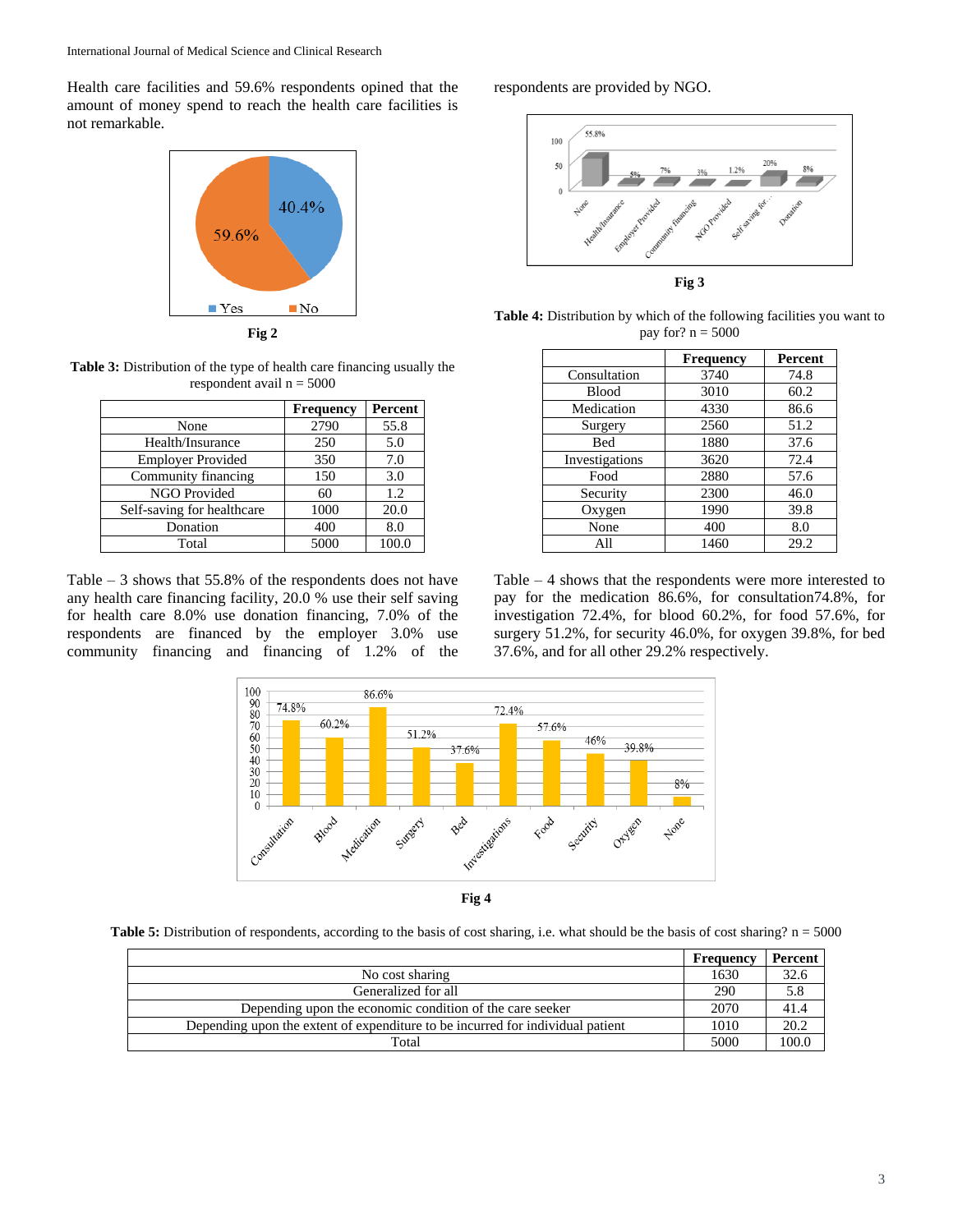Health care facilities and 59.6% respondents opined that the amount of money spend to reach the health care facilities is not remarkable.



**Fig 2**

**Table 3:** Distribution of the type of health care financing usually the respondent avail  $n = 5000$ 

|                            | <b>Frequency</b> | Percent |
|----------------------------|------------------|---------|
| None                       | 2790             | 55.8    |
| Health/Insurance           | 250              | 5.0     |
| <b>Employer Provided</b>   | 350              | 7.0     |
| Community financing        | 150              | 3.0     |
| NGO Provided               | 60               | 1.2     |
| Self-saving for healthcare | 1000             | 20.0    |
| Donation                   | 400              | 8.0     |
| Total                      | 5000             | 100.0   |

Table – 3 shows that 55.8% of the respondents does not have any health care financing facility, 20.0 % use their self saving for health care 8.0% use donation financing, 7.0% of the respondents are financed by the employer 3.0% use community financing and financing of 1.2% of the respondents are provided by NGO.



Table 4: Distribution by which of the following facilities you want to pay for?  $n = 5000$ 

|                | <b>Frequency</b> | <b>Percent</b> |
|----------------|------------------|----------------|
| Consultation   | 3740             | 74.8           |
| <b>Blood</b>   | 3010             | 60.2           |
| Medication     | 4330             | 86.6           |
| Surgery        | 2560             | 51.2           |
| Bed            | 1880             | 37.6           |
| Investigations | 3620             | 72.4           |
| Food           | 2880             | 57.6           |
| Security       | 2300             | 46.0           |
| Oxygen         | 1990             | 39.8           |
| None           | 400              | 8.0            |
| All            | 1460             | 29.2           |

Table – 4 shows that the respondents were more interested to pay for the medication 86.6%, for consultation74.8%, for investigation 72.4%, for blood 60.2%, for food 57.6%, for surgery 51.2%, for security 46.0%, for oxygen 39.8%, for bed 37.6%, and for all other 29.2% respectively.



**Table 5:** Distribution of respondents, according to the basis of cost sharing, i.e. what should be the basis of cost sharing? n = 5000

|                                                                                | Frequency | Percent |
|--------------------------------------------------------------------------------|-----------|---------|
| No cost sharing                                                                | 1630      | 32.6    |
| Generalized for all                                                            | 290       | 5.8     |
| Depending upon the economic condition of the care seeker                       | 2070      | 41.4    |
| Depending upon the extent of expenditure to be incurred for individual patient | 1010      | 20.2    |
| Total                                                                          | 5000      |         |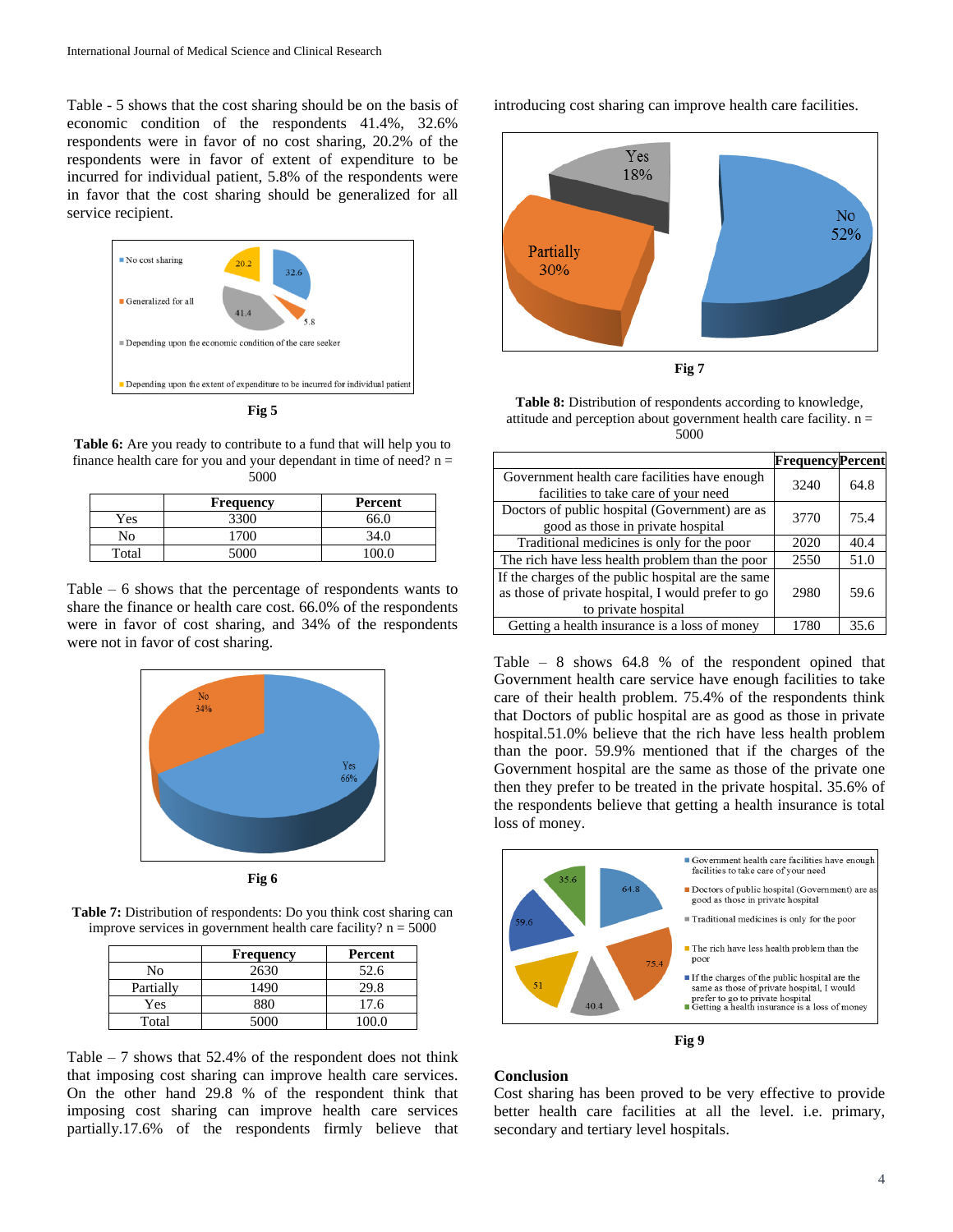Table - 5 shows that the cost sharing should be on the basis of economic condition of the respondents 41.4%, 32.6% respondents were in favor of no cost sharing, 20.2% of the respondents were in favor of extent of expenditure to be incurred for individual patient, 5.8% of the respondents were in favor that the cost sharing should be generalized for all service recipient.



**Table 6:** Are you ready to contribute to a fund that will help you to finance health care for you and your dependant in time of need?  $n =$ 5000

|       | <b>Frequency</b> | Percent |
|-------|------------------|---------|
| Yes   | 3300             | 66.0    |
| No    | 700              |         |
| Total | 5000             |         |

Table – 6 shows that the percentage of respondents wants to share the finance or health care cost. 66.0% of the respondents were in favor of cost sharing, and 34% of the respondents were not in favor of cost sharing.



**Fig 6**

**Table 7:** Distribution of respondents: Do you think cost sharing can improve services in government health care facility?  $n = 5000$ 

|           | <b>Frequency</b> | Percent |
|-----------|------------------|---------|
| No        | 2630             | 52.6    |
| Partially | 1490             | 29.8    |
| Yes       | 880              | 17.6    |
| Total     | 5000             | 100 O   |

Table  $-7$  shows that 52.4% of the respondent does not think that imposing cost sharing can improve health care services. On the other hand 29.8 % of the respondent think that imposing cost sharing can improve health care services partially.17.6% of the respondents firmly believe that introducing cost sharing can improve health care facilities.



**Fig 7**

**Table 8:** Distribution of respondents according to knowledge, attitude and perception about government health care facility. n = 5000

|                                                    | <b>FrequencyPercent</b> |      |
|----------------------------------------------------|-------------------------|------|
| Government health care facilities have enough      | 3240                    | 64.8 |
| facilities to take care of your need               |                         |      |
| Doctors of public hospital (Government) are as     | 3770                    | 75.4 |
| good as those in private hospital                  |                         |      |
| Traditional medicines is only for the poor         | 2020                    | 40.4 |
| The rich have less health problem than the poor    | 2550                    | 51.0 |
| If the charges of the public hospital are the same |                         |      |
| as those of private hospital, I would prefer to go | 2980                    | 59.6 |
| to private hospital                                |                         |      |
| Getting a health insurance is a loss of money      | 1780                    | 35 G |

Table – 8 shows 64.8 % of the respondent opined that Government health care service have enough facilities to take care of their health problem. 75.4% of the respondents think that Doctors of public hospital are as good as those in private hospital.51.0% believe that the rich have less health problem than the poor. 59.9% mentioned that if the charges of the Government hospital are the same as those of the private one then they prefer to be treated in the private hospital. 35.6% of the respondents believe that getting a health insurance is total loss of money.



**Fig 9**

## **Conclusion**

Cost sharing has been proved to be very effective to provide better health care facilities at all the level. i.e. primary, secondary and tertiary level hospitals.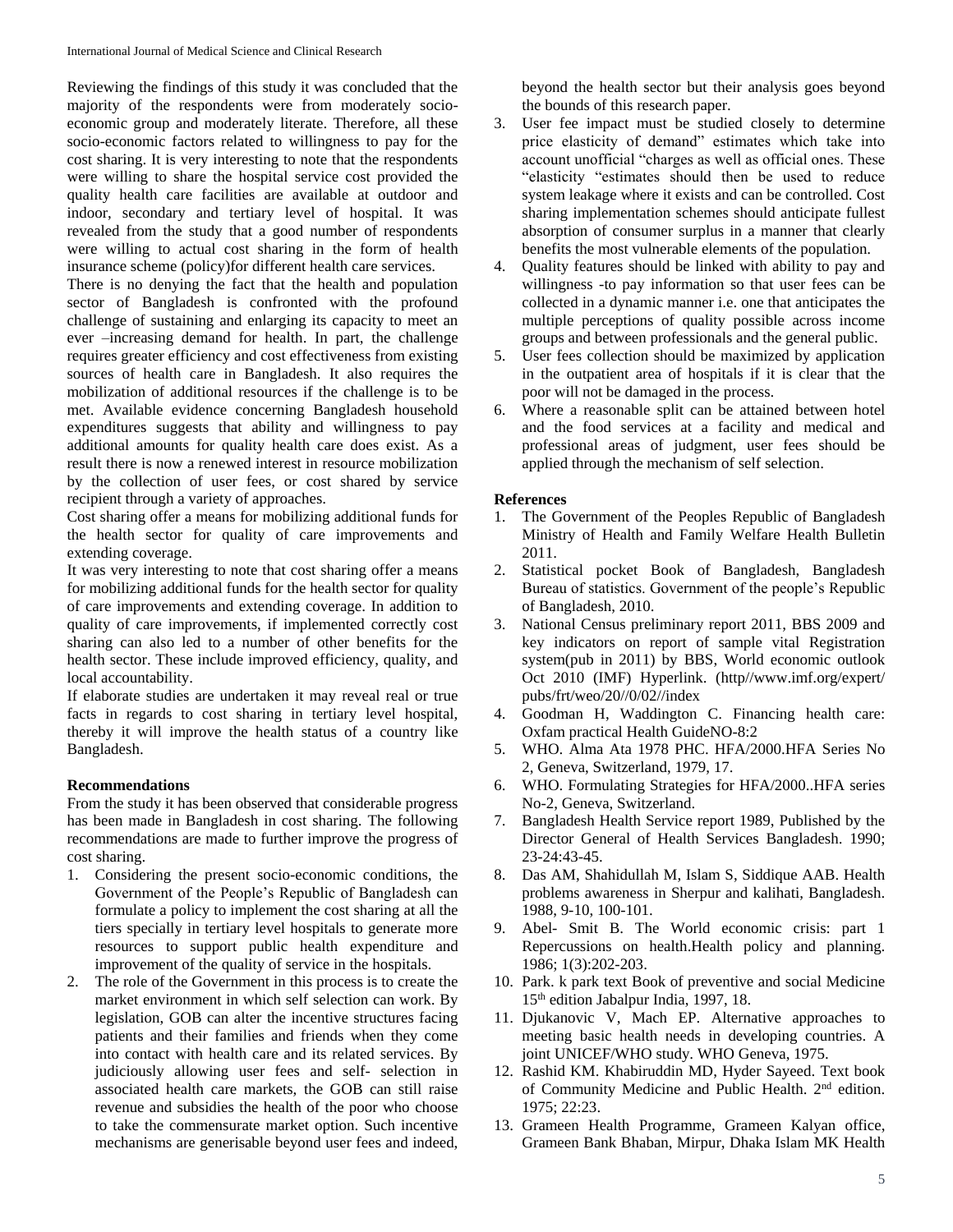Reviewing the findings of this study it was concluded that the majority of the respondents were from moderately socioeconomic group and moderately literate. Therefore, all these socio-economic factors related to willingness to pay for the cost sharing. It is very interesting to note that the respondents were willing to share the hospital service cost provided the quality health care facilities are available at outdoor and indoor, secondary and tertiary level of hospital. It was revealed from the study that a good number of respondents were willing to actual cost sharing in the form of health insurance scheme (policy)for different health care services.

There is no denying the fact that the health and population sector of Bangladesh is confronted with the profound challenge of sustaining and enlarging its capacity to meet an ever –increasing demand for health. In part, the challenge requires greater efficiency and cost effectiveness from existing sources of health care in Bangladesh. It also requires the mobilization of additional resources if the challenge is to be met. Available evidence concerning Bangladesh household expenditures suggests that ability and willingness to pay additional amounts for quality health care does exist. As a result there is now a renewed interest in resource mobilization by the collection of user fees, or cost shared by service recipient through a variety of approaches.

Cost sharing offer a means for mobilizing additional funds for the health sector for quality of care improvements and extending coverage.

It was very interesting to note that cost sharing offer a means for mobilizing additional funds for the health sector for quality of care improvements and extending coverage. In addition to quality of care improvements, if implemented correctly cost sharing can also led to a number of other benefits for the health sector. These include improved efficiency, quality, and local accountability.

If elaborate studies are undertaken it may reveal real or true facts in regards to cost sharing in tertiary level hospital, thereby it will improve the health status of a country like Bangladesh.

## **Recommendations**

From the study it has been observed that considerable progress has been made in Bangladesh in cost sharing. The following recommendations are made to further improve the progress of cost sharing.

- 1. Considering the present socio-economic conditions, the Government of the People's Republic of Bangladesh can formulate a policy to implement the cost sharing at all the tiers specially in tertiary level hospitals to generate more resources to support public health expenditure and improvement of the quality of service in the hospitals.
- 2. The role of the Government in this process is to create the market environment in which self selection can work. By legislation, GOB can alter the incentive structures facing patients and their families and friends when they come into contact with health care and its related services. By judiciously allowing user fees and self- selection in associated health care markets, the GOB can still raise revenue and subsidies the health of the poor who choose to take the commensurate market option. Such incentive mechanisms are generisable beyond user fees and indeed,

beyond the health sector but their analysis goes beyond the bounds of this research paper.

- 3. User fee impact must be studied closely to determine price elasticity of demand" estimates which take into account unofficial "charges as well as official ones. These "elasticity "estimates should then be used to reduce system leakage where it exists and can be controlled. Cost sharing implementation schemes should anticipate fullest absorption of consumer surplus in a manner that clearly benefits the most vulnerable elements of the population.
- 4. Quality features should be linked with ability to pay and willingness -to pay information so that user fees can be collected in a dynamic manner i.e. one that anticipates the multiple perceptions of quality possible across income groups and between professionals and the general public.
- 5. User fees collection should be maximized by application in the outpatient area of hospitals if it is clear that the poor will not be damaged in the process.
- 6. Where a reasonable split can be attained between hotel and the food services at a facility and medical and professional areas of judgment, user fees should be applied through the mechanism of self selection.

## **References**

- 1. The Government of the Peoples Republic of Bangladesh Ministry of Health and Family Welfare Health Bulletin 2011.
- 2. Statistical pocket Book of Bangladesh, Bangladesh Bureau of statistics. Government of the people's Republic of Bangladesh, 2010.
- 3. National Census preliminary report 2011, BBS 2009 and key indicators on report of sample vital Registration system(pub in 2011) by BBS, World economic outlook Oct 2010 (IMF) Hyperlink. (http//www.imf.org/expert/ pubs/frt/weo/20//0/02//index
- 4. Goodman H, Waddington C. Financing health care: Oxfam practical Health GuideNO-8:2
- 5. WHO. Alma Ata 1978 PHC. HFA/2000.HFA Series No 2, Geneva, Switzerland, 1979, 17.
- 6. WHO. Formulating Strategies for HFA/2000..HFA series No-2, Geneva, Switzerland.
- 7. Bangladesh Health Service report 1989, Published by the Director General of Health Services Bangladesh. 1990; 23-24:43-45.
- 8. Das AM, Shahidullah M, Islam S, Siddique AAB. Health problems awareness in Sherpur and kalihati, Bangladesh. 1988, 9-10, 100-101.
- 9. Abel- Smit B. The World economic crisis: part 1 Repercussions on health.Health policy and planning. 1986; 1(3):202-203.
- 10. Park. k park text Book of preventive and social Medicine 15th edition Jabalpur India, 1997, 18.
- 11. Djukanovic V, Mach EP. Alternative approaches to meeting basic health needs in developing countries. A joint UNICEF/WHO study. WHO Geneva, 1975.
- 12. Rashid KM. Khabiruddin MD, Hyder Sayeed. Text book of Community Medicine and Public Health. 2nd edition. 1975; 22:23.
- 13. Grameen Health Programme, Grameen Kalyan office, Grameen Bank Bhaban, Mirpur, Dhaka Islam MK Health